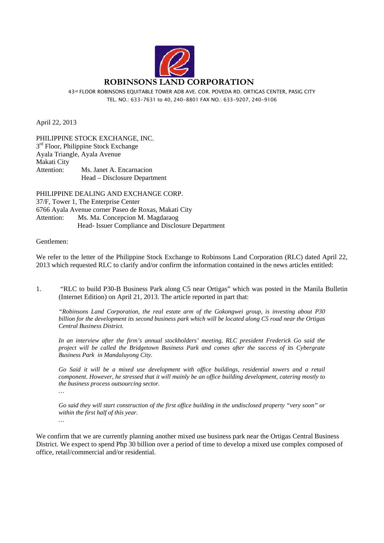

43rd FLOOR ROBINSONS EQUITABLE TOWER ADB AVE. COR. POVEDA RD. ORTIGAS CENTER, PASIG CITY TEL. NO.: 633-7631 to 40, 240-8801 FAX NO.: 633-9207, 240-9106

April 22, 2013

PHILIPPINE STOCK EXCHANGE, INC.  $3<sup>rd</sup>$  Floor, Philippine Stock Exchange Ayala Triangle, Ayala Avenue Makati City Attention: Ms. Janet A. Encarnacion Head – Disclosure Department

PHILIPPINE DEALING AND EXCHANGE CORP. 37/F, Tower 1, The Enterprise Center 6766 Ayala Avenue corner Paseo de Roxas, Makati City Attention: Ms. Ma. Concepcion M. Magdaraog Head- Issuer Compliance and Disclosure Department

## Gentlemen:

*…* 

We refer to the letter of the Philippine Stock Exchange to Robinsons Land Corporation (RLC) dated April 22, 2013 which requested RLC to clarify and/or confirm the information contained in the news articles entitled:

1. "RLC to build P30-B Business Park along C5 near Ortigas" which was posted in the Manila Bulletin (Internet Edition) on April 21, 2013. The article reported in part that:

*"Robinsons Land Corporation, the real estate arm of the Gokongwei group, is investing about P30 billion for the development its second business park which will be located along C5 road near the Ortigas Central Business District.* 

*In an interview after the firm's annual stockholders' meeting, RLC president Frederick Go said the project will be called the Bridgetown Business Park and comes after the success of its Cybergrate Business Park in Mandaluyong City.* 

*Go Said it will be a mixed use development with office buildings, residential towers and a retail component. However, he stressed that it will mainly be an office building development, catering mostly to the business process outsourcing sector.* 

*Go said they will start construction of the first office building in the undisclosed property "very soon" or within the first half of this year. …* 

We confirm that we are currently planning another mixed use business park near the Ortigas Central Business District. We expect to spend Php 30 billion over a period of time to develop a mixed use complex composed of office, retail/commercial and/or residential.